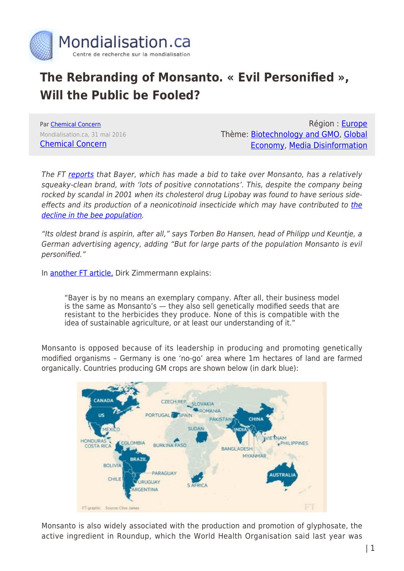

## **The Rebranding of Monsanto. « Evil Personified », Will the Public be Fooled?**

Par [Chemical Concern](https://www.mondialisation.ca/author/chemical-concern) Mondialisation.ca, 31 mai 2016 [Chemical Concern](https://gmandchemicalindustry9.wordpress.com/2016/05/29/rebrand-monsanto-will-the-99-be-fooled/)

Région : [Europe](https://www.mondialisation.ca/region/europe) Thème: [Biotechnology and GMO](https://www.mondialisation.ca/theme/biotechnology-and-gmo), [Global](https://www.mondialisation.ca/theme/global-economy) [Economy](https://www.mondialisation.ca/theme/global-economy), [Media Disinformation](https://www.mondialisation.ca/theme/media-disinformation)

The FT [reports](http://www.ft.com/cms/s/0/fb149504-226f-11e6-aa98-db1e01fabc0c.html#ixzz49kbVwslO) that Bayer, which has made a bid to take over Monsanto, has a relatively squeaky-clean brand, with 'lots of positive connotations'. This, despite the company being rocked by scandal in 2001 when its cholesterol drug Lipobay was found to have serious sideeffects and its production of a neonicotinoid insecticide which may have contributed to [the](http://www.ft.com/intl/cms/s/0/e64fa4d2-e8d8-11e4-87fe-00144feab7de.html#axzz49adVN6fq) [decline in the bee population](http://www.ft.com/intl/cms/s/0/e64fa4d2-e8d8-11e4-87fe-00144feab7de.html#axzz49adVN6fq).

"Its oldest brand is aspirin, after all," says Torben Bo Hansen, head of Philipp und Keuntje, a German advertising agency, adding "But for large parts of the population Monsanto is evil personified."

In [another FT article,](http://www.ft.com/cms/s/0/3cab3ab2-236b-11e6-9d4d-c11776a5124d.html#ixzz4A27fV0Tc) Dirk Zimmermann explains:

"Bayer is by no means an exemplary company. After all, their business model is the same as Monsanto's — they also sell genetically modified seeds that are resistant to the herbicides they produce. None of this is compatible with the idea of sustainable agriculture, or at least our understanding of it."

Monsanto is opposed because of its leadership in producing and promoting genetically modified organisms – Germany is one 'no-go' area where 1m hectares of land are farmed organically. Countries producing GM crops are shown below (in dark blue):



Monsanto is also widely associated with the production and promotion of glyphosate, the active ingredient in Roundup, which the World Health Organisation said last year was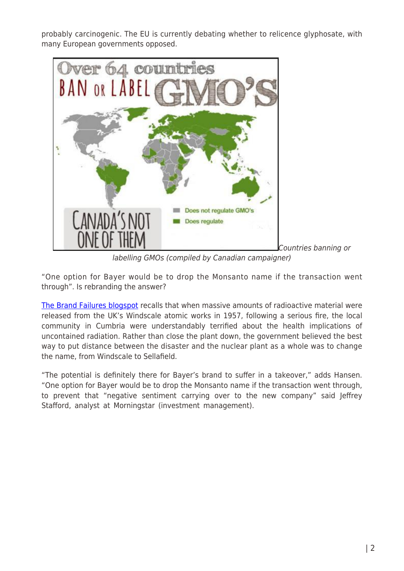probably carcinogenic. The EU is currently debating whether to relicence glyphosate, with many European governments opposed.



[C](https://gmandchemicalindustry9.wordpress.com/2016/05/29/rebrand-monsanto-will-the-99-be-fooled/countries-ban-label-gm-crops-14/)ountries banning or

labelling GMOs (compiled by Canadian campaigner)

"One option for Bayer would be to drop the Monsanto name if the transaction went through". Is rebranding the answer?

[The Brand Failures blogspot](http://brandfailures.blogspot.co.uk/2007/04/rebranding-failures-windscale-to.html) recalls that when massive amounts of radioactive material were released from the UK's Windscale atomic works in 1957, following a serious fire, the local community in Cumbria were understandably terrified about the health implications of uncontained radiation. Rather than close the plant down, the government believed the best way to put distance between the disaster and the nuclear plant as a whole was to change the name, from Windscale to Sellafield.

"The potential is definitely there for Bayer's brand to suffer in a takeover," adds Hansen. "One option for Bayer would be to drop the Monsanto name if the transaction went through, to prevent that "negative sentiment carrying over to the new company" said Jeffrey Stafford, analyst at Morningstar (investment management).